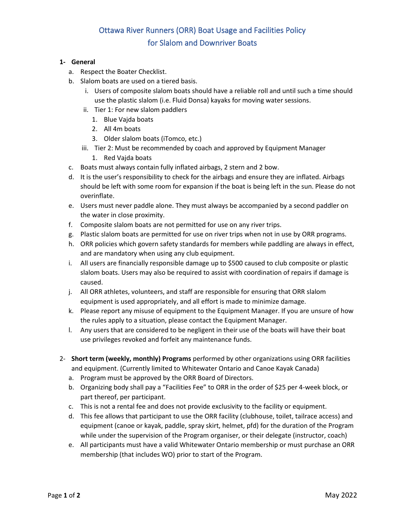## Ottawa River Runners (ORR) Boat Usage and Facilities Policy for Slalom and Downriver Boats

## **1- General**

- a. Respect the Boater Checklist.
- b. Slalom boats are used on a tiered basis.
	- i. Users of composite slalom boats should have a reliable roll and until such a time should use the plastic slalom (i.e. Fluid Donsa) kayaks for moving water sessions.
	- ii. Tier 1: For new slalom paddlers
		- 1. Blue Vajda boats
		- 2. All 4m boats
		- 3. Older slalom boats (iTomco, etc.)
	- iii. Tier 2: Must be recommended by coach and approved by Equipment Manager
		- 1. Red Vajda boats
- c. Boats must always contain fully inflated airbags, 2 stern and 2 bow.
- d. It is the user's responsibility to check for the airbags and ensure they are inflated. Airbags should be left with some room for expansion if the boat is being left in the sun. Please do not overinflate.
- e. Users must never paddle alone. They must always be accompanied by a second paddler on the water in close proximity.
- f. Composite slalom boats are not permitted for use on any river trips.
- g. Plastic slalom boats are permitted for use on river trips when not in use by ORR programs.
- h. ORR policies which govern safety standards for members while paddling are always in effect, and are mandatory when using any club equipment.
- i. All users are financially responsible damage up to \$500 caused to club composite or plastic slalom boats. Users may also be required to assist with coordination of repairs if damage is caused.
- j. All ORR athletes, volunteers, and staff are responsible for ensuring that ORR slalom equipment is used appropriately, and all effort is made to minimize damage.
- k. Please report any misuse of equipment to the Equipment Manager. If you are unsure of how the rules apply to a situation, please contact the Equipment Manager.
- l. Any users that are considered to be negligent in their use of the boats will have their boat use privileges revoked and forfeit any maintenance funds.
- 2- **Short term (weekly, monthly) Programs** performed by other organizations using ORR facilities and equipment. (Currently limited to Whitewater Ontario and Canoe Kayak Canada)
	- a. Program must be approved by the ORR Board of Directors.
	- b. Organizing body shall pay a "Facilities Fee" to ORR in the order of \$25 per 4-week block, or part thereof, per participant.
	- c. This is not a rental fee and does not provide exclusivity to the facility or equipment.
	- d. This fee allows that participant to use the ORR facility (clubhouse, toilet, tailrace access) and equipment (canoe or kayak, paddle, spray skirt, helmet, pfd) for the duration of the Program while under the supervision of the Program organiser, or their delegate (instructor, coach)
	- e. All participants must have a valid Whitewater Ontario membership or must purchase an ORR membership (that includes WO) prior to start of the Program.